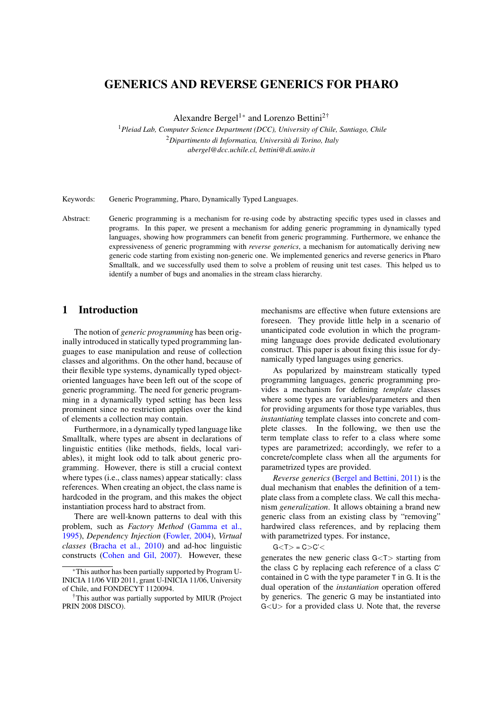# GENERICS AND REVERSE GENERICS FOR PHARO

Alexandre Bergel<sup>1</sup><sup>∗</sup> and Lorenzo Bettini<sup>2†</sup>

<sup>1</sup>*Pleiad Lab, Computer Science Department (DCC), University of Chile, Santiago, Chile* <sup>2</sup>*Dipartimento di Informatica, Universita di Torino, Italy ` abergel@dcc.uchile.cl, bettini@di.unito.it*

Keywords: Generic Programming, Pharo, Dynamically Typed Languages.

Abstract: Generic programming is a mechanism for re-using code by abstracting specific types used in classes and programs. In this paper, we present a mechanism for adding generic programming in dynamically typed languages, showing how programmers can benefit from generic programming. Furthermore, we enhance the expressiveness of generic programming with *reverse generics*, a mechanism for automatically deriving new generic code starting from existing non-generic one. We implemented generics and reverse generics in Pharo Smalltalk, and we successfully used them to solve a problem of reusing unit test cases. This helped us to identify a number of bugs and anomalies in the stream class hierarchy.

## 1 Introduction

The notion of *generic programming* has been originally introduced in statically typed programming languages to ease manipulation and reuse of collection classes and algorithms. On the other hand, because of their flexible type systems, dynamically typed objectoriented languages have been left out of the scope of generic programming. The need for generic programming in a dynamically typed setting has been less prominent since no restriction applies over the kind of elements a collection may contain.

Furthermore, in a dynamically typed language like Smalltalk, where types are absent in declarations of linguistic entities (like methods, fields, local variables), it might look odd to talk about generic programming. However, there is still a crucial context where types (i.e., class names) appear statically: class references. When creating an object, the class name is hardcoded in the program, and this makes the object instantiation process hard to abstract from.

There are well-known patterns to deal with this problem, such as *Factory Method* [\(Gamma et al.,](#page-9-0) [1995\)](#page-9-0), *Dependency Injection* [\(Fowler, 2004\)](#page-9-1), *Virtual classes* [\(Bracha et al., 2010\)](#page-8-0) and ad-hoc linguistic constructs [\(Cohen and Gil, 2007\)](#page-9-2). However, these

mechanisms are effective when future extensions are foreseen. They provide little help in a scenario of unanticipated code evolution in which the programming language does provide dedicated evolutionary construct. This paper is about fixing this issue for dynamically typed languages using generics.

As popularized by mainstream statically typed programming languages, generic programming provides a mechanism for defining *template* classes where some types are variables/parameters and then for providing arguments for those type variables, thus *instantiating* template classes into concrete and complete classes. In the following, we then use the term template class to refer to a class where some types are parametrized; accordingly, we refer to a concrete/complete class when all the arguments for parametrized types are provided.

*Reverse generics* [\(Bergel and Bettini, 2011\)](#page-8-1) is the dual mechanism that enables the definition of a template class from a complete class. We call this mechanism *generalization*. It allows obtaining a brand new generic class from an existing class by "removing" hardwired class references, and by replacing them with parametrized types. For instance,

 $G < T > = C > C' <$ 

generates the new generic class G<T> starting from the class C by replacing each reference of a class C' contained in C with the type parameter T in G. It is the dual operation of the *instantiation* operation offered by generics. The generic G may be instantiated into  $G< U>$  for a provided class U. Note that, the reverse

<sup>∗</sup>This author has been partially supported by Program U-INICIA 11/06 VID 2011, grant U-INICIA 11/06, University of Chile, and FONDECYT 1120094.

<sup>†</sup>This author was partially supported by MIUR (Project PRIN 2008 DISCO).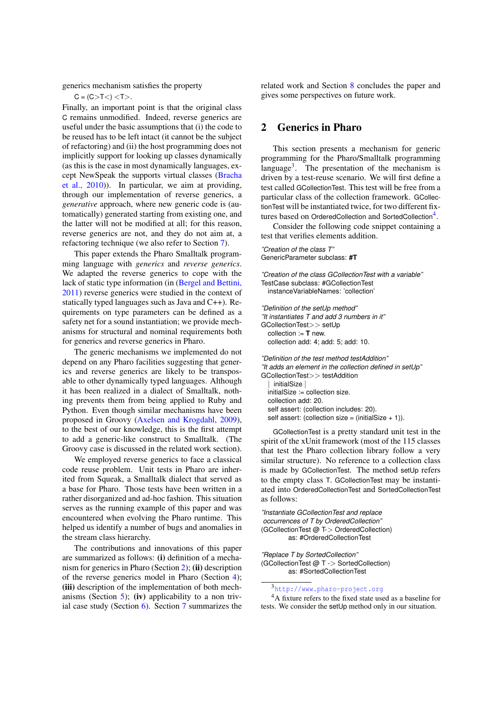generics mechanism satisfies the property

#### $C = (C > T <) < T >$ .

Finally, an important point is that the original class C remains unmodified. Indeed, reverse generics are useful under the basic assumptions that (i) the code to be reused has to be left intact (it cannot be the subject of refactoring) and (ii) the host programming does not implicitly support for looking up classes dynamically (as this is the case in most dynamically languages, except NewSpeak the supports virtual classes [\(Bracha](#page-8-0) [et al., 2010\)](#page-8-0)). In particular, we aim at providing, through our implementation of reverse generics, a *generative* approach, where new generic code is (automatically) generated starting from existing one, and the latter will not be modified at all; for this reason, reverse generics are not, and they do not aim at, a refactoring technique (we also refer to Section [7\)](#page-6-0).

This paper extends the Pharo Smalltalk programming language with *generics* and *reverse generics*. We adapted the reverse generics to cope with the lack of static type information (in [\(Bergel and Bettini,](#page-8-1) [2011\)](#page-8-1) reverse generics were studied in the context of statically typed languages such as Java and C++). Requirements on type parameters can be defined as a safety net for a sound instantiation; we provide mechanisms for structural and nominal requirements both for generics and reverse generics in Pharo.

The generic mechanisms we implemented do not depend on any Pharo facilities suggesting that generics and reverse generics are likely to be transposable to other dynamically typed languages. Although it has been realized in a dialect of Smalltalk, nothing prevents them from being applied to Ruby and Python. Even though similar mechanisms have been proposed in Groovy [\(Axelsen and Krogdahl, 2009\)](#page-8-2), to the best of our knowledge, this is the first attempt to add a generic-like construct to Smalltalk. (The Groovy case is discussed in the related work section).

We employed reverse generics to face a classical code reuse problem. Unit tests in Pharo are inherited from Squeak, a Smalltalk dialect that served as a base for Pharo. Those tests have been written in a rather disorganized and ad-hoc fashion. This situation serves as the running example of this paper and was encountered when evolving the Pharo runtime. This helped us identify a number of bugs and anomalies in the stream class hierarchy.

The contributions and innovations of this paper are summarized as follows: (i) definition of a mecha-nism for generics in Pharo (Section [2\)](#page-1-0); (ii) description of the reverse generics model in Pharo (Section [4\)](#page-2-0); (iii) description of the implementation of both mechanisms (Section  $5$ ); (iv) applicability to a non trivial case study (Section  $6$ ). Section [7](#page-6-0) summarizes the related work and Section [8](#page-8-3) concludes the paper and gives some perspectives on future work.

## <span id="page-1-0"></span>2 Generics in Pharo

This section presents a mechanism for generic programming for the Pharo/Smalltalk programming language<sup>[3](#page-1-1)</sup>. The presentation of the mechanism is driven by a test-reuse scenario. We will first define a test called GCollectionTest. This test will be free from a particular class of the collection framework. GCollectionTest will be instantiated twice, for two different fix-tures based on OrderedCollection and SortedCollection<sup>[4](#page-1-2)</sup>.

Consider the following code snippet containing a test that verifies elements addition.

*"Creation of the class T"* GenericParameter subclass: **#T**

```
"Creation of the class GCollectionTest with a variable"
TestCase subclass: #GCollectionTest
  instanceVariableNames: 'collection'
```

```
"Definition of the setUp method"
"It instantiates T and add 3 numbers in it"
GCollectionTest>> setUp
  collection := T new.
  collection add: 4; add: 5; add: 10.
```
*"Definition of the test method testAddition" "It adds an element in the collection defined in setUp"* GCollectionTest>> testAddition | initialSize | initialSize := collection size. collection add: 20. self assert: (collection includes: 20). self assert: (collection size =  $(initalSize + 1)$ ).

GCollectionTest is a pretty standard unit test in the spirit of the xUnit framework (most of the 115 classes that test the Pharo collection library follow a very similar structure). No reference to a collection class is made by GCollectionTest. The method setUp refers to the empty class T. GCollectionTest may be instantiated into OrderedCollectionTest and SortedCollectionTest as follows:

*"Instantiate GCollectionTest and replace occurrences of T by OrderedCollection"* (GCollectionTest @ T-> OrderedCollection) as: #OrderedCollectionTest

*"Replace T by SortedCollection"* (GCollectionTest @ T -> SortedCollection) as: #SortedCollectionTest

<span id="page-1-2"></span><span id="page-1-1"></span><sup>3</sup><http://www.pharo-project.org>

<sup>4</sup>A fixture refers to the fixed state used as a baseline for tests. We consider the setUp method only in our situation.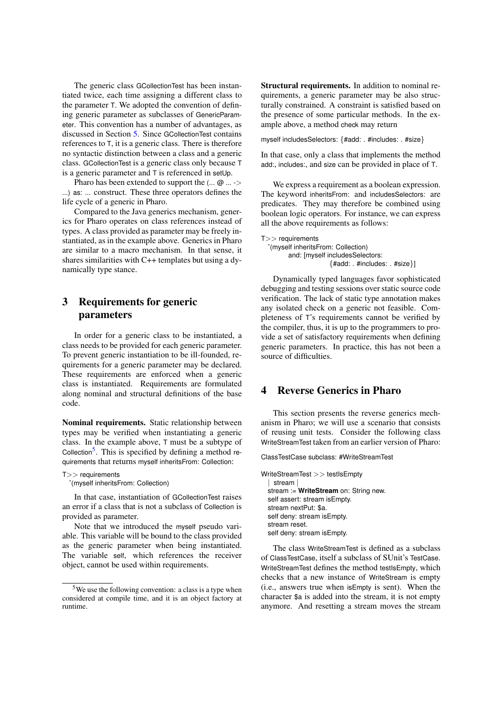The generic class GCollectionTest has been instantiated twice, each time assigning a different class to the parameter T. We adopted the convention of defining generic parameter as subclasses of GenericParameter. This convention has a number of advantages, as discussed in Section [5.](#page-4-0) Since GCollectionTest contains references to T, it is a generic class. There is therefore no syntactic distinction between a class and a generic class. GCollectionTest is a generic class only because T is a generic parameter and T is referenced in setUp.

Pharo has been extended to support the  $\langle \dots \otimes \dots \rangle$ ...) as: ... construct. These three operators defines the life cycle of a generic in Pharo.

Compared to the Java generics mechanism, generics for Pharo operates on class references instead of types. A class provided as parameter may be freely instantiated, as in the example above. Generics in Pharo are similar to a macro mechanism. In that sense, it shares similarities with C++ templates but using a dynamically type stance.

# <span id="page-2-2"></span>3 Requirements for generic parameters

In order for a generic class to be instantiated, a class needs to be provided for each generic parameter. To prevent generic instantiation to be ill-founded, requirements for a generic parameter may be declared. These requirements are enforced when a generic class is instantiated. Requirements are formulated along nominal and structural definitions of the base code.

Nominal requirements. Static relationship between types may be verified when instantiating a generic class. In the example above, T must be a subtype of Collection<sup>[5](#page-2-1)</sup>. This is specified by defining a method requirements that returns myself inheritsFrom: Collection:

T>> requirements

ˆ(myself inheritsFrom: Collection)

In that case, instantiation of GCollectionTest raises an error if a class that is not a subclass of Collection is provided as parameter.

Note that we introduced the myself pseudo variable. This variable will be bound to the class provided as the generic parameter when being instantiated. The variable self, which references the receiver object, cannot be used within requirements.

Structural requirements. In addition to nominal requirements, a generic parameter may be also structurally constrained. A constraint is satisfied based on the presence of some particular methods. In the example above, a method check may return

myself includesSelectors: {#add: . #includes: . #size}

In that case, only a class that implements the method add:, includes:, and size can be provided in place of T.

We express a requirement as a boolean expression. The keyword inheritsFrom: and includesSelectors: are predicates. They may therefore be combined using boolean logic operators. For instance, we can express all the above requirements as follows:

T>> requirements ˆ(myself inheritsFrom: Collection) and: [myself includesSelectors: {#add: . #includes: . #size}]

Dynamically typed languages favor sophisticated debugging and testing sessions over static source code verification. The lack of static type annotation makes any isolated check on a generic not feasible. Completeness of T's requirements cannot be verified by the compiler, thus, it is up to the programmers to provide a set of satisfactory requirements when defining generic parameters. In practice, this has not been a source of difficulties.

# <span id="page-2-0"></span>4 Reverse Generics in Pharo

This section presents the reverse generics mechanism in Pharo; we will use a scenario that consists of reusing unit tests. Consider the following class WriteStreamTest taken from an earlier version of Pharo:

ClassTestCase subclass: #WriteStreamTest

WriteStreamTest >> testIsEmpty | stream | stream := **WriteStream** on: String new. self assert: stream isEmpty. stream nextPut: \$a. self deny: stream isEmpty. stream reset. self deny: stream isEmpty.

The class WriteStreamTest is defined as a subclass of ClassTestCase, itself a subclass of SUnit's TestCase. WriteStreamTest defines the method testIsEmpty, which checks that a new instance of WriteStream is empty (i.e., answers true when isEmpty is sent). When the character \$a is added into the stream, it is not empty anymore. And resetting a stream moves the stream

<span id="page-2-1"></span><sup>5</sup>We use the following convention: a class is a type when considered at compile time, and it is an object factory at runtime.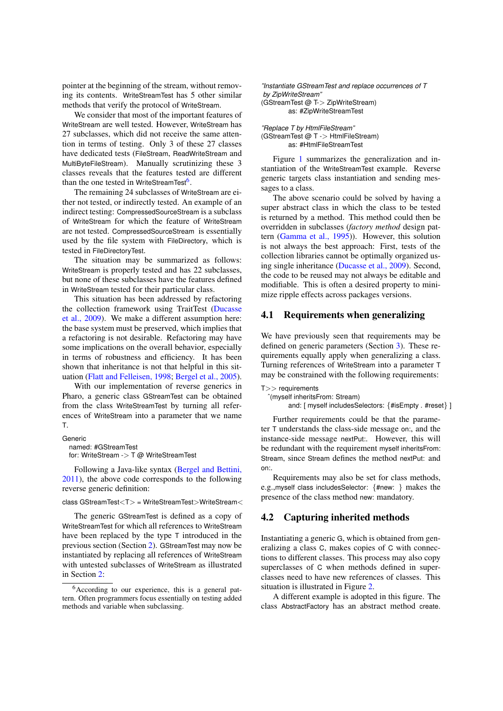pointer at the beginning of the stream, without removing its contents. WriteStreamTest has 5 other similar methods that verify the protocol of WriteStream.

We consider that most of the important features of WriteStream are well tested. However, WriteStream has 27 subclasses, which did not receive the same attention in terms of testing. Only 3 of these 27 classes have dedicated tests (FileStream, ReadWriteStream and MultiByteFileStream). Manually scrutinizing these 3 classes reveals that the features tested are different than the one tested in WriteStreamTest<sup>[6](#page-3-0)</sup>.

The remaining 24 subclasses of WriteStream are either not tested, or indirectly tested. An example of an indirect testing: CompressedSourceStream is a subclass of WriteStream for which the feature of WriteStream are not tested. CompressedSourceStream is essentially used by the file system with FileDirectory, which is tested in FileDirectoryTest.

The situation may be summarized as follows: WriteStream is properly tested and has 22 subclasses, but none of these subclasses have the features defined in WriteStream tested for their particular class.

This situation has been addressed by refactoring the collection framework using TraitTest [\(Ducasse](#page-9-3) [et al., 2009\)](#page-9-3). We make a different assumption here: the base system must be preserved, which implies that a refactoring is not desirable. Refactoring may have some implications on the overall behavior, especially in terms of robustness and efficiency. It has been shown that inheritance is not that helpful in this situation [\(Flatt and Felleisen, 1998;](#page-9-4) [Bergel et al., 2005\)](#page-8-4).

With our implementation of reverse generics in Pharo, a generic class GStreamTest can be obtained from the class WriteStreamTest by turning all references of WriteStream into a parameter that we name T.

#### Generic

named: #GStreamTest for: WriteStream -> T @ WriteStreamTest

Following a Java-like syntax [\(Bergel and Bettini,](#page-8-1) [2011\)](#page-8-1), the above code corresponds to the following reverse generic definition:

class GStreamTest<T> = WriteStreamTest>WriteStream<

The generic GStreamTest is defined as a copy of WriteStreamTest for which all references to WriteStream have been replaced by the type T introduced in the previous section (Section [2\)](#page-1-0). GStreamTest may now be instantiated by replacing all references of WriteStream with untested subclasses of WriteStream as illustrated in Section [2:](#page-1-0)

*"Instantiate GStreamTest and replace occurrences of T by ZipWriteStream"* (GStreamTest @ T-> ZipWriteStream) as: #ZipWriteStreamTest

*"Replace T by HtmlFileStream"* (GStreamTest @ T -> HtmlFileStream) as: #HtmlFileStreamTest

Figure [1](#page-4-1) summarizes the generalization and instantiation of the WriteStreamTest example. Reverse generic targets class instantiation and sending messages to a class.

The above scenario could be solved by having a super abstract class in which the class to be tested is returned by a method. This method could then be overridden in subclasses (*factory method* design pattern [\(Gamma et al., 1995\)](#page-9-0)). However, this solution is not always the best approach: First, tests of the collection libraries cannot be optimally organized using single inheritance [\(Ducasse et al., 2009\)](#page-9-3). Second, the code to be reused may not always be editable and modifiable. This is often a desired property to minimize ripple effects across packages versions.

### <span id="page-3-1"></span>4.1 Requirements when generalizing

We have previously seen that requirements may be defined on generic parameters (Section [3\)](#page-2-2). These requirements equally apply when generalizing a class. Turning references of WriteStream into a parameter T may be constrained with the following requirements:

T>> requirements ˆ(myself inheritsFrom: Stream) and: [ myself includesSelectors: {#isEmpty . #reset} ]

Further requirements could be that the parameter T understands the class-side message on:, and the instance-side message nextPut:. However, this will be redundant with the requirement myself inheritsFrom: Stream, since Stream defines the method nextPut: and on:.

Requirements may also be set for class methods, e.g.,myself class includesSelector: {#new: } makes the presence of the class method new: mandatory.

### 4.2 Capturing inherited methods

Instantiating a generic G, which is obtained from generalizing a class C, makes copies of C with connections to different classes. This process may also copy superclasses of C when methods defined in superclasses need to have new references of classes. This situation is illustrated in Figure [2.](#page-5-1)

A different example is adopted in this figure. The class AbstractFactory has an abstract method create.

<span id="page-3-0"></span><sup>6</sup>According to our experience, this is a general pattern. Often programmers focus essentially on testing added methods and variable when subclassing.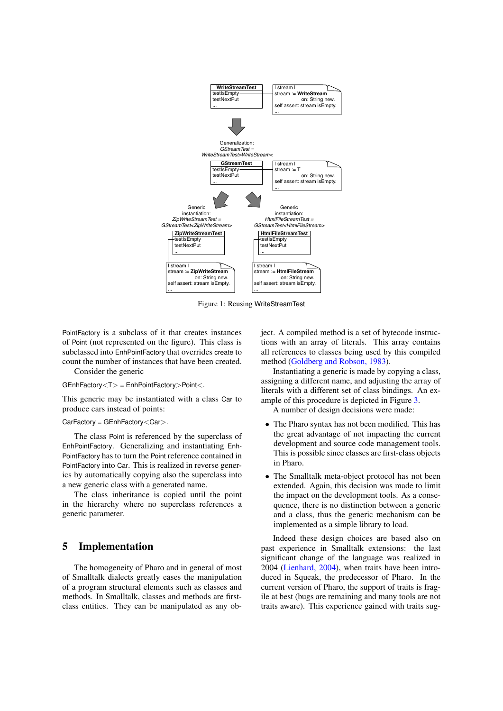<span id="page-4-1"></span>

Figure 1: Reusing WriteStreamTest

PointFactory is a subclass of it that creates instances of Point (not represented on the figure). This class is subclassed into EnhPointFactory that overrides create to count the number of instances that have been created.

Consider the generic

GEnhFactory<T> = EnhPointFactory>Point<.

This generic may be instantiated with a class Car to produce cars instead of points:

#### CarFactory = GEnhFactory<Car>.

The class Point is referenced by the superclass of EnhPointFactory. Generalizing and instantiating Enh-PointFactory has to turn the Point reference contained in PointFactory into Car. This is realized in reverse generics by automatically copying also the superclass into a new generic class with a generated name.

The class inheritance is copied until the point in the hierarchy where no superclass references a generic parameter.

### <span id="page-4-0"></span>5 Implementation

The homogeneity of Pharo and in general of most of Smalltalk dialects greatly eases the manipulation of a program structural elements such as classes and methods. In Smalltalk, classes and methods are firstclass entities. They can be manipulated as any object. A compiled method is a set of bytecode instructions with an array of literals. This array contains all references to classes being used by this compiled method [\(Goldberg and Robson, 1983\)](#page-9-5).

Instantiating a generic is made by copying a class, assigning a different name, and adjusting the array of literals with a different set of class bindings. An example of this procedure is depicted in Figure [3.](#page-5-2)

A number of design decisions were made:

- The Pharo syntax has not been modified. This has the great advantage of not impacting the current development and source code management tools. This is possible since classes are first-class objects in Pharo.
- The Smalltalk meta-object protocol has not been extended. Again, this decision was made to limit the impact on the development tools. As a consequence, there is no distinction between a generic and a class, thus the generic mechanism can be implemented as a simple library to load.

Indeed these design choices are based also on past experience in Smalltalk extensions: the last significant change of the language was realized in 2004 [\(Lienhard, 2004\)](#page-9-6), when traits have been introduced in Squeak, the predecessor of Pharo. In the current version of Pharo, the support of traits is fragile at best (bugs are remaining and many tools are not traits aware). This experience gained with traits sug-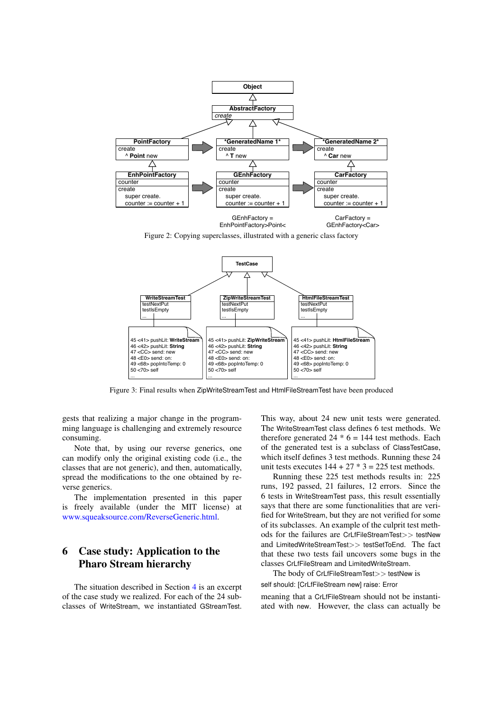<span id="page-5-1"></span>

<span id="page-5-2"></span>Figure 3: Final results when ZipWriteStreamTest and HtmlFileStreamTest have been produced

gests that realizing a major change in the programming language is challenging and extremely resource consuming.

Note that, by using our reverse generics, one can modify only the original existing code (i.e., the classes that are not generic), and then, automatically, spread the modifications to the one obtained by reverse generics.

The implementation presented in this paper is freely available (under the MIT license) at [www.squeaksource.com/ReverseGeneric.html.](http://www.squeaksource.com/ReverseGeneric.html)

# <span id="page-5-0"></span>6 Case study: Application to the Pharo Stream hierarchy

The situation described in Section [4](#page-2-0) is an excerpt of the case study we realized. For each of the 24 subclasses of WriteStream, we instantiated GStreamTest. This way, about 24 new unit tests were generated. The WriteStreamTest class defines 6 test methods. We therefore generated  $24 * 6 = 144$  test methods. Each of the generated test is a subclass of ClassTestCase, which itself defines 3 test methods. Running these 24 unit tests executes  $144 + 27 * 3 = 225$  test methods.

Running these 225 test methods results in: 225 runs, 192 passed, 21 failures, 12 errors. Since the 6 tests in WriteStreamTest pass, this result essentially says that there are some functionalities that are verified for WriteStream, but they are not verified for some of its subclasses. An example of the culprit test methods for the failures are CrLfFileStreamTest>> testNew and LimitedWriteStreamTest>> testSetToEnd. The fact that these two tests fail uncovers some bugs in the classes CrLfFileStream and LimitedWriteStream.

The body of CrLfFileStreamTest>> testNew is self should: [CrLfFileStream new] raise: Error

meaning that a CrLfFileStream should not be instantiated with new. However, the class can actually be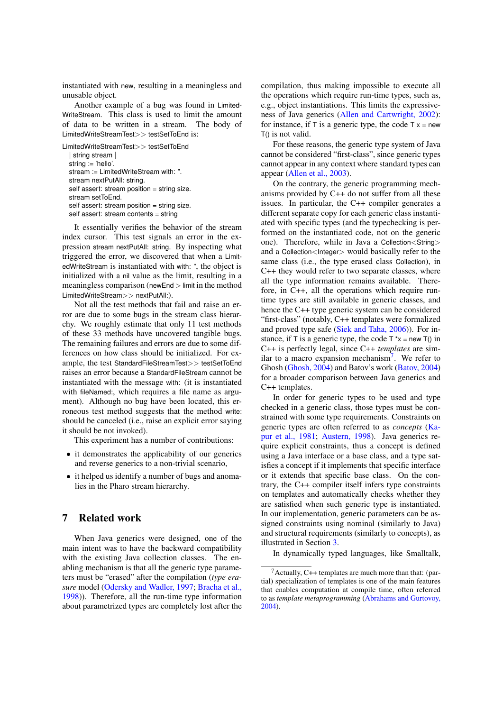instantiated with new, resulting in a meaningless and unusable object.

Another example of a bug was found in Limited-WriteStream. This class is used to limit the amount of data to be written in a stream. The body of LimitedWriteStreamTest>> testSetToEnd is:

```
LimitedWriteStreamTest>> testSetToEnd
  | string stream |
  string := 'hello'.
  stream := LimitedWriteStream with: ".
  stream nextPutAll: string.
  self assert: stream position = string size.
  stream setToEnd.
  self assert: stream position = string size.
  self assert: stream contents = string
```
It essentially verifies the behavior of the stream index cursor. This test signals an error in the expression stream nextPutAll: string. By inspecting what triggered the error, we discovered that when a LimitedWriteStream is instantiated with with: ", the object is initialized with a nil value as the limit, resulting in a meaningless comparison (newEnd > limit in the method LimitedWriteStream>> nextPutAll:).

Not all the test methods that fail and raise an error are due to some bugs in the stream class hierarchy. We roughly estimate that only 11 test methods of these 33 methods have uncovered tangible bugs. The remaining failures and errors are due to some differences on how class should be initialized. For example, the test StandardFileStreamTest>> testSetToEnd raises an error because a StandardFileStream cannot be instantiated with the message with: (it is instantiated with fileNamed:, which requires a file name as argument). Although no bug have been located, this erroneous test method suggests that the method write: should be canceled (i.e., raise an explicit error saying it should be not invoked).

This experiment has a number of contributions:

- it demonstrates the applicability of our generics and reverse generics to a non-trivial scenario,
- it helped us identify a number of bugs and anomalies in the Pharo stream hierarchy.

# <span id="page-6-0"></span>7 Related work

When Java generics were designed, one of the main intent was to have the backward compatibility with the existing Java collection classes. The enabling mechanism is that all the generic type parameters must be "erased" after the compilation (*type erasure* model [\(Odersky and Wadler, 1997;](#page-9-7) [Bracha et al.,](#page-8-5) [1998\)](#page-8-5)). Therefore, all the run-time type information about parametrized types are completely lost after the compilation, thus making impossible to execute all the operations which require run-time types, such as, e.g., object instantiations. This limits the expressiveness of Java generics [\(Allen and Cartwright, 2002\)](#page-8-6): for instance, if  $T$  is a generic type, the code  $T x = new$ T() is not valid.

For these reasons, the generic type system of Java cannot be considered "first-class", since generic types cannot appear in any context where standard types can appear [\(Allen et al., 2003\)](#page-8-7).

On the contrary, the generic programming mechanisms provided by C++ do not suffer from all these issues. In particular, the C++ compiler generates a different separate copy for each generic class instantiated with specific types (and the typechecking is performed on the instantiated code, not on the generic one). Therefore, while in Java a Collection<String> and a Collection<Integer> would basically refer to the same class (i.e., the type erased class Collection), in C++ they would refer to two separate classes, where all the type information remains available. Therefore, in C++, all the operations which require runtime types are still available in generic classes, and hence the C++ type generic system can be considered "first-class" (notably, C++ templates were formalized and proved type safe [\(Siek and Taha, 2006\)](#page-9-8)). For instance, if  $\top$  is a generic type, the code  $\top$  \*x = new  $\top$ () in C++ is perfectly legal, since C++ *templates* are sim-ilar to a macro expansion mechanism<sup>[7](#page-6-1)</sup>. We refer to Ghosh [\(Ghosh, 2004\)](#page-9-9) and Batov's work [\(Batov, 2004\)](#page-8-8) for a broader comparison between Java generics and C++ templates.

In order for generic types to be used and type checked in a generic class, those types must be constrained with some type requirements. Constraints on generic types are often referred to as *concepts* [\(Ka](#page-9-10)[pur et al., 1981;](#page-9-10) [Austern, 1998\)](#page-8-9). Java generics require explicit constraints, thus a concept is defined using a Java interface or a base class, and a type satisfies a concept if it implements that specific interface or it extends that specific base class. On the contrary, the C++ compiler itself infers type constraints on templates and automatically checks whether they are satisfied when such generic type is instantiated. In our implementation, generic parameters can be assigned constraints using nominal (similarly to Java) and structural requirements (similarly to concepts), as illustrated in Section [3.](#page-2-2)

In dynamically typed languages, like Smalltalk,

<span id="page-6-1"></span> $7$ Actually, C++ templates are much more than that: (partial) specialization of templates is one of the main features that enables computation at compile time, often referred to as *template metaprogramming* [\(Abrahams and Gurtovoy,](#page-8-10) [2004\)](#page-8-10).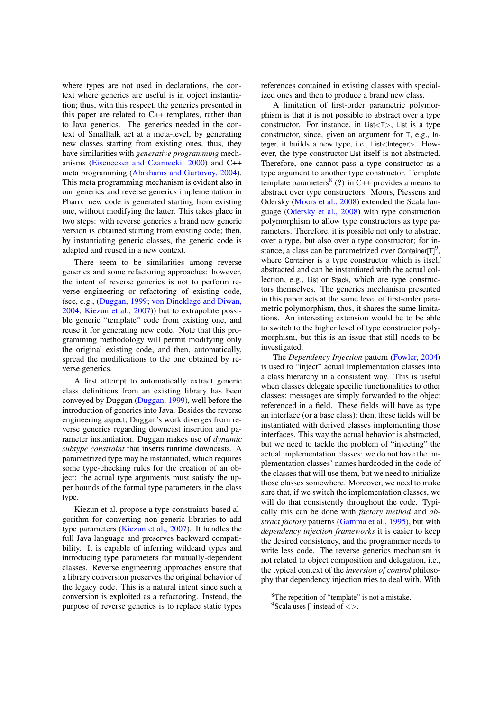where types are not used in declarations, the context where generics are useful is in object instantiation; thus, with this respect, the generics presented in this paper are related to C++ templates, rather than to Java generics. The generics needed in the context of Smalltalk act at a meta-level, by generating new classes starting from existing ones, thus, they have similarities with *generative programming* mechanisms [\(Eisenecker and Czarnecki, 2000\)](#page-9-11) and C++ meta programming [\(Abrahams and Gurtovoy, 2004\)](#page-8-10). This meta programming mechanism is evident also in our generics and reverse generics implementation in Pharo: new code is generated starting from existing one, without modifying the latter. This takes place in two steps: with reverse generics a brand new generic version is obtained starting from existing code; then, by instantiating generic classes, the generic code is adapted and reused in a new context.

There seem to be similarities among reverse generics and some refactoring approaches: however, the intent of reverse generics is not to perform reverse engineering or refactoring of existing code, (see, e.g., [\(Duggan, 1999;](#page-9-12) [von Dincklage and Diwan,](#page-9-13) [2004;](#page-9-13) [Kiezun et al., 2007\)](#page-9-14)) but to extrapolate possible generic "template" code from existing one, and reuse it for generating new code. Note that this programming methodology will permit modifying only the original existing code, and then, automatically, spread the modifications to the one obtained by reverse generics.

A first attempt to automatically extract generic class definitions from an existing library has been conveyed by Duggan [\(Duggan, 1999\)](#page-9-12), well before the introduction of generics into Java. Besides the reverse engineering aspect, Duggan's work diverges from reverse generics regarding downcast insertion and parameter instantiation. Duggan makes use of *dynamic subtype constraint* that inserts runtime downcasts. A parametrized type may be instantiated, which requires some type-checking rules for the creation of an object: the actual type arguments must satisfy the upper bounds of the formal type parameters in the class type.

Kiezun et al. propose a type-constraints-based algorithm for converting non-generic libraries to add type parameters [\(Kiezun et al., 2007\)](#page-9-14). It handles the full Java language and preserves backward compatibility. It is capable of inferring wildcard types and introducing type parameters for mutually-dependent classes. Reverse engineering approaches ensure that a library conversion preserves the original behavior of the legacy code. This is a natural intent since such a conversion is exploited as a refactoring. Instead, the purpose of reverse generics is to replace static types

references contained in existing classes with specialized ones and then to produce a brand new class.

A limitation of first-order parametric polymorphism is that it is not possible to abstract over a type constructor. For instance, in  $List < T>$ , List is a type constructor, since, given an argument for T, e.g., Integer, it builds a new type, i.e., List<Integer>. However, the type constructor List itself is not abstracted. Therefore, one cannot pass a type constructor as a type argument to another type constructor. Template template parameters<sup>[8](#page-7-0)</sup> (?) in C++ provides a means to abstract over type constructors. Moors, Piessens and Odersky [\(Moors et al., 2008\)](#page-9-15) extended the Scala language [\(Odersky et al., 2008\)](#page-9-16) with type construction polymorphism to allow type constructors as type parameters. Therefore, it is possible not only to abstract over a type, but also over a type constructor; for instance, a class can be parametrized over Container[T] $^{9}$  $^{9}$  $^{9}$ , where Container is a type constructor which is itself abstracted and can be instantiated with the actual collection, e.g., List or Stack, which are type constructors themselves. The generics mechanism presented in this paper acts at the same level of first-order parametric polymorphism, thus, it shares the same limitations. An interesting extension would be to be able to switch to the higher level of type constructor polymorphism, but this is an issue that still needs to be investigated.

The *Dependency Injection* pattern [\(Fowler, 2004\)](#page-9-1) is used to "inject" actual implementation classes into a class hierarchy in a consistent way. This is useful when classes delegate specific functionalities to other classes: messages are simply forwarded to the object referenced in a field. These fields will have as type an interface (or a base class); then, these fields will be instantiated with derived classes implementing those interfaces. This way the actual behavior is abstracted, but we need to tackle the problem of "injecting" the actual implementation classes: we do not have the implementation classes' names hardcoded in the code of the classes that will use them, but we need to initialize those classes somewhere. Moreover, we need to make sure that, if we switch the implementation classes, we will do that consistently throughout the code. Typically this can be done with *factory method* and *abstract factory* patterns [\(Gamma et al., 1995\)](#page-9-0), but with *dependency injection frameworks* it is easier to keep the desired consistency, and the programmer needs to write less code. The reverse generics mechanism is not related to object composition and delegation, i.e., the typical context of the *inversion of control* philosophy that dependency injection tries to deal with. With

<span id="page-7-0"></span><sup>&</sup>lt;sup>8</sup>The repetition of "template" is not a mistake.

<span id="page-7-1"></span><sup>&</sup>lt;sup>9</sup>Scala uses [] instead of  $\lt>$ .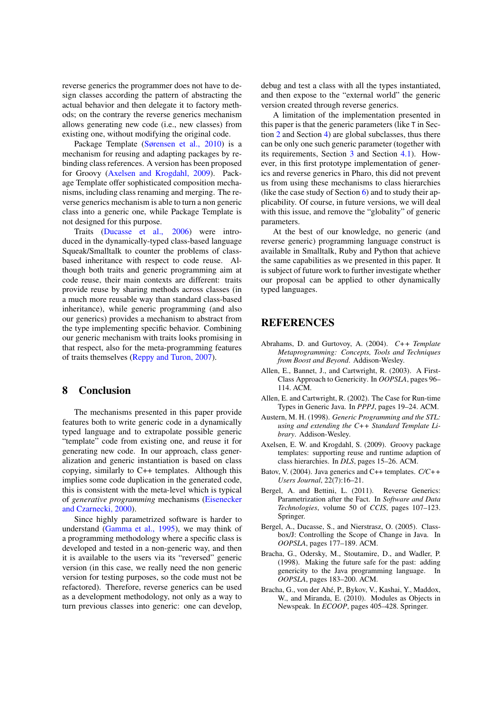reverse generics the programmer does not have to design classes according the pattern of abstracting the actual behavior and then delegate it to factory methods; on the contrary the reverse generics mechanism allows generating new code (i.e., new classes) from existing one, without modifying the original code.

Package Template [\(Sørensen et al., 2010\)](#page-9-17) is a mechanism for reusing and adapting packages by rebinding class references. A version has been proposed for Groovy [\(Axelsen and Krogdahl, 2009\)](#page-8-2). Package Template offer sophisticated composition mechanisms, including class renaming and merging. The reverse generics mechanism is able to turn a non generic class into a generic one, while Package Template is not designed for this purpose.

Traits [\(Ducasse et al., 2006\)](#page-9-18) were introduced in the dynamically-typed class-based language Squeak/Smalltalk to counter the problems of classbased inheritance with respect to code reuse. Although both traits and generic programming aim at code reuse, their main contexts are different: traits provide reuse by sharing methods across classes (in a much more reusable way than standard class-based inheritance), while generic programming (and also our generics) provides a mechanism to abstract from the type implementing specific behavior. Combining our generic mechanism with traits looks promising in that respect, also for the meta-programming features of traits themselves [\(Reppy and Turon, 2007\)](#page-9-19).

### <span id="page-8-3"></span>8 Conclusion

The mechanisms presented in this paper provide features both to write generic code in a dynamically typed language and to extrapolate possible generic "template" code from existing one, and reuse it for generating new code. In our approach, class generalization and generic instantiation is based on class copying, similarly to C++ templates. Although this implies some code duplication in the generated code, this is consistent with the meta-level which is typical of *generative programming* mechanisms [\(Eisenecker](#page-9-11) [and Czarnecki, 2000\)](#page-9-11).

Since highly parametrized software is harder to understand [\(Gamma et al., 1995\)](#page-9-0), we may think of a programming methodology where a specific class is developed and tested in a non-generic way, and then it is available to the users via its "reversed" generic version (in this case, we really need the non generic version for testing purposes, so the code must not be refactored). Therefore, reverse generics can be used as a development methodology, not only as a way to turn previous classes into generic: one can develop,

debug and test a class with all the types instantiated, and then expose to the "external world" the generic version created through reverse generics.

A limitation of the implementation presented in this paper is that the generic parameters (like T in Section [2](#page-1-0) and Section [4\)](#page-2-0) are global subclasses, thus there can be only one such generic parameter (together with its requirements, Section [3](#page-2-2) and Section [4.1\)](#page-3-1). However, in this first prototype implementation of generics and reverse generics in Pharo, this did not prevent us from using these mechanisms to class hierarchies (like the case study of Section  $6$ ) and to study their applicability. Of course, in future versions, we will deal with this issue, and remove the "globality" of generic parameters.

At the best of our knowledge, no generic (and reverse generic) programming language construct is available in Smalltalk, Ruby and Python that achieve the same capabilities as we presented in this paper. It is subject of future work to further investigate whether our proposal can be applied to other dynamically typed languages.

## REFERENCES

- <span id="page-8-10"></span>Abrahams, D. and Gurtovoy, A. (2004). *C++ Template Metaprogramming: Concepts, Tools and Techniques from Boost and Beyond*. Addison-Wesley.
- <span id="page-8-7"></span>Allen, E., Bannet, J., and Cartwright, R. (2003). A First-Class Approach to Genericity. In *OOPSLA*, pages 96– 114. ACM.
- <span id="page-8-6"></span>Allen, E. and Cartwright, R. (2002). The Case for Run-time Types in Generic Java. In *PPPJ*, pages 19–24. ACM.
- <span id="page-8-9"></span>Austern, M. H. (1998). *Generic Programming and the STL: using and extending the C++ Standard Template Library*. Addison-Wesley.
- <span id="page-8-2"></span>Axelsen, E. W. and Krogdahl, S. (2009). Groovy package templates: supporting reuse and runtime adaption of class hierarchies. In *DLS*, pages 15–26. ACM.
- <span id="page-8-8"></span>Batov, V. (2004). Java generics and C++ templates. *C/C++ Users Journal*, 22(7):16–21.
- <span id="page-8-1"></span>Bergel, A. and Bettini, L. (2011). Reverse Generics: Parametrization after the Fact. In *Software and Data Technologies*, volume 50 of *CCIS*, pages 107–123. Springer.
- <span id="page-8-4"></span>Bergel, A., Ducasse, S., and Nierstrasz, O. (2005). Classbox/J: Controlling the Scope of Change in Java. In *OOPSLA*, pages 177–189. ACM.
- <span id="page-8-5"></span>Bracha, G., Odersky, M., Stoutamire, D., and Wadler, P. (1998). Making the future safe for the past: adding genericity to the Java programming language. In *OOPSLA*, pages 183–200. ACM.
- <span id="page-8-0"></span>Bracha, G., von der Ahe, P., Bykov, V., Kashai, Y., Maddox, ´ W., and Miranda, E. (2010). Modules as Objects in Newspeak. In *ECOOP*, pages 405–428. Springer.